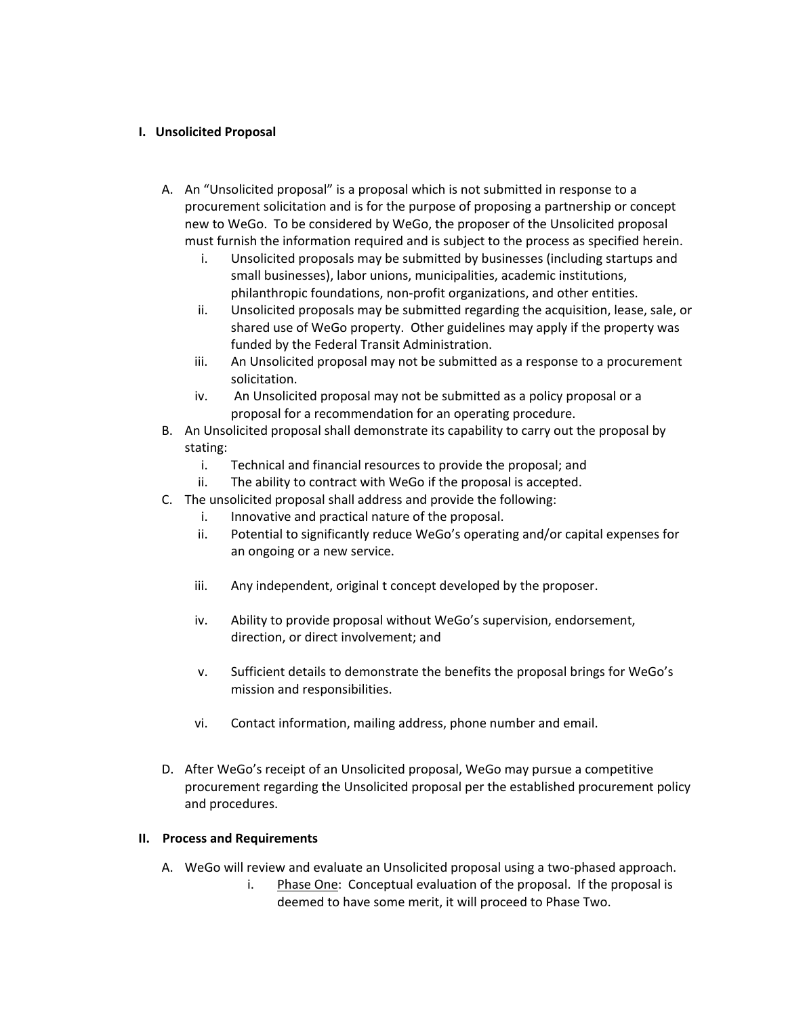### **I. Unsolicited Proposal**

- A. An "Unsolicited proposal" is a proposal which is not submitted in response to a procurement solicitation and is for the purpose of proposing a partnership or concept new to WeGo. To be considered by WeGo, the proposer of the Unsolicited proposal must furnish the information required and is subject to the process as specified herein.
	- i. Unsolicited proposals may be submitted by businesses (including startups and small businesses), labor unions, municipalities, academic institutions, philanthropic foundations, non-profit organizations, and other entities.
	- ii. Unsolicited proposals may be submitted regarding the acquisition, lease, sale, or shared use of WeGo property. Other guidelines may apply if the property was funded by the Federal Transit Administration.
	- iii. An Unsolicited proposal may not be submitted as a response to a procurement solicitation.
	- iv. An Unsolicited proposal may not be submitted as a policy proposal or a proposal for a recommendation for an operating procedure.
- B. An Unsolicited proposal shall demonstrate its capability to carry out the proposal by stating:
	- i. Technical and financial resources to provide the proposal; and
	- ii. The ability to contract with WeGo if the proposal is accepted.
- C. The unsolicited proposal shall address and provide the following:
	- i. Innovative and practical nature of the proposal.
	- ii. Potential to significantly reduce WeGo's operating and/or capital expenses for an ongoing or a new service.
	- iii. Any independent, original t concept developed by the proposer.
	- iv. Ability to provide proposal without WeGo's supervision, endorsement, direction, or direct involvement; and
	- v. Sufficient details to demonstrate the benefits the proposal brings for WeGo's mission and responsibilities.
	- vi. Contact information, mailing address, phone number and email.
- D. After WeGo's receipt of an Unsolicited proposal, WeGo may pursue a competitive procurement regarding the Unsolicited proposal per the established procurement policy and procedures.

### **II. Process and Requirements**

- A. WeGo will review and evaluate an Unsolicited proposal using a two-phased approach.
	- i. Phase One: Conceptual evaluation of the proposal. If the proposal is deemed to have some merit, it will proceed to Phase Two.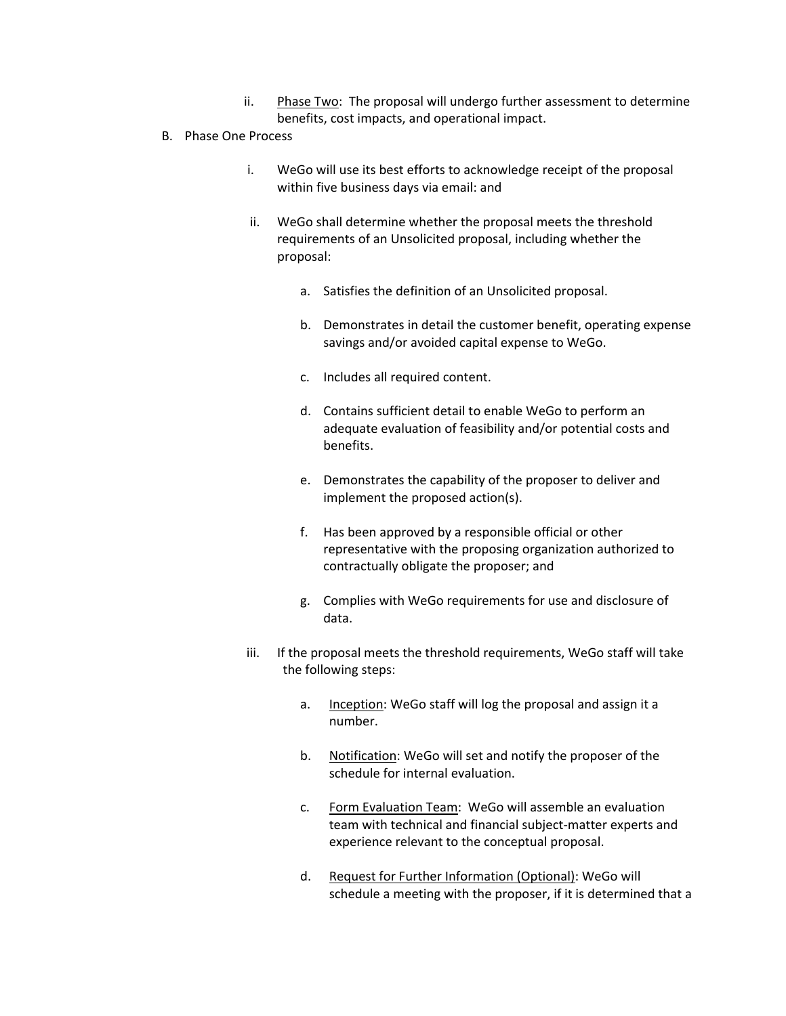- ii. Phase Two: The proposal will undergo further assessment to determine benefits, cost impacts, and operational impact.
- B. Phase One Process
	- i. WeGo will use its best efforts to acknowledge receipt of the proposal within five business days via email: and
	- ii. WeGo shall determine whether the proposal meets the threshold requirements of an Unsolicited proposal, including whether the proposal:
		- a. Satisfies the definition of an Unsolicited proposal.
		- b. Demonstrates in detail the customer benefit, operating expense savings and/or avoided capital expense to WeGo.
		- c. Includes all required content.
		- d. Contains sufficient detail to enable WeGo to perform an adequate evaluation of feasibility and/or potential costs and benefits.
		- e. Demonstrates the capability of the proposer to deliver and implement the proposed action(s).
		- f. Has been approved by a responsible official or other representative with the proposing organization authorized to contractually obligate the proposer; and
		- g. Complies with WeGo requirements for use and disclosure of data.
	- iii. If the proposal meets the threshold requirements, WeGo staff will take the following steps:
		- a. Inception: WeGo staff will log the proposal and assign it a number.
		- b. Notification: WeGo will set and notify the proposer of the schedule for internal evaluation.
		- c. Form Evaluation Team: WeGo will assemble an evaluation team with technical and financial subject-matter experts and experience relevant to the conceptual proposal.
		- d. Request for Further Information (Optional): WeGo will schedule a meeting with the proposer, if it is determined that a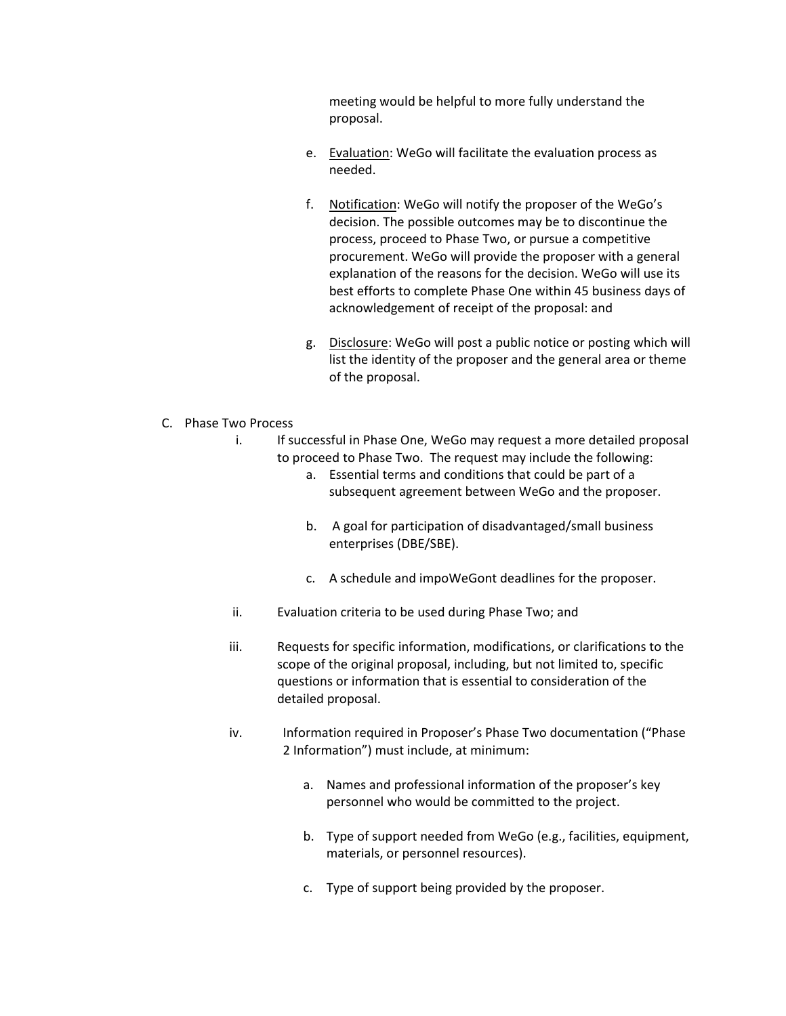meeting would be helpful to more fully understand the proposal.

- e. Evaluation: WeGo will facilitate the evaluation process as needed.
- f. Notification: WeGo will notify the proposer of the WeGo's decision. The possible outcomes may be to discontinue the process, proceed to Phase Two, or pursue a competitive procurement. WeGo will provide the proposer with a general explanation of the reasons for the decision. WeGo will use its best efforts to complete Phase One within 45 business days of acknowledgement of receipt of the proposal: and
- g. Disclosure: WeGo will post a public notice or posting which will list the identity of the proposer and the general area or theme of the proposal.
- C. Phase Two Process
	- i. If successful in Phase One, WeGo may request a more detailed proposal to proceed to Phase Two. The request may include the following:
		- a. Essential terms and conditions that could be part of a subsequent agreement between WeGo and the proposer.
		- b. A goal for participation of disadvantaged/small business enterprises (DBE/SBE).
		- c. A schedule and impoWeGont deadlines for the proposer.
	- ii. Evaluation criteria to be used during Phase Two; and
	- iii. Requests for specific information, modifications, or clarifications to the scope of the original proposal, including, but not limited to, specific questions or information that is essential to consideration of the detailed proposal.
	- iv. Information required in Proposer's Phase Two documentation ("Phase 2 Information") must include, at minimum:
		- a. Names and professional information of the proposer's key personnel who would be committed to the project.
		- b. Type of support needed from WeGo (e.g., facilities, equipment, materials, or personnel resources).
		- c. Type of support being provided by the proposer.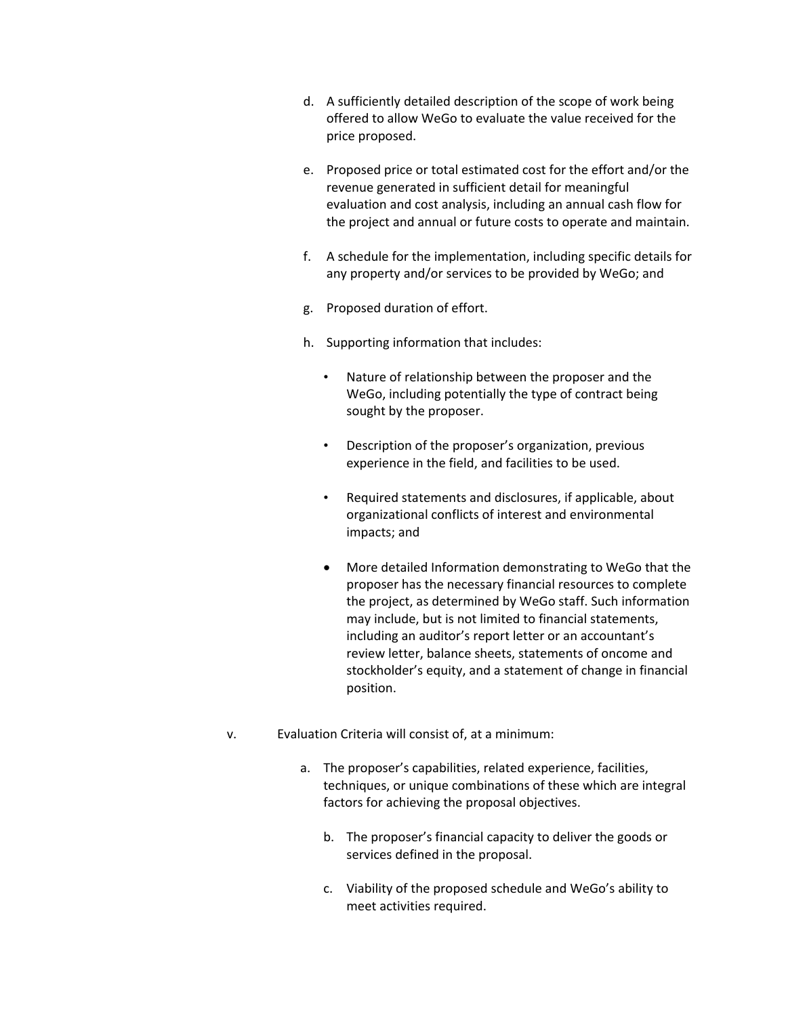- d. A sufficiently detailed description of the scope of work being offered to allow WeGo to evaluate the value received for the price proposed.
- e. Proposed price or total estimated cost for the effort and/or the revenue generated in sufficient detail for meaningful evaluation and cost analysis, including an annual cash flow for the project and annual or future costs to operate and maintain.
- f. A schedule for the implementation, including specific details for any property and/or services to be provided by WeGo; and
- g. Proposed duration of effort.
- h. Supporting information that includes:
	- Nature of relationship between the proposer and the WeGo, including potentially the type of contract being sought by the proposer.
	- Description of the proposer's organization, previous experience in the field, and facilities to be used.
	- Required statements and disclosures, if applicable, about organizational conflicts of interest and environmental impacts; and
	- More detailed Information demonstrating to WeGo that the proposer has the necessary financial resources to complete the project, as determined by WeGo staff. Such information may include, but is not limited to financial statements, including an auditor's report letter or an accountant's review letter, balance sheets, statements of oncome and stockholder's equity, and a statement of change in financial position.
- v. Evaluation Criteria will consist of, at a minimum:
	- a. The proposer's capabilities, related experience, facilities, techniques, or unique combinations of these which are integral factors for achieving the proposal objectives.
		- b. The proposer's financial capacity to deliver the goods or services defined in the proposal.
		- c. Viability of the proposed schedule and WeGo's ability to meet activities required.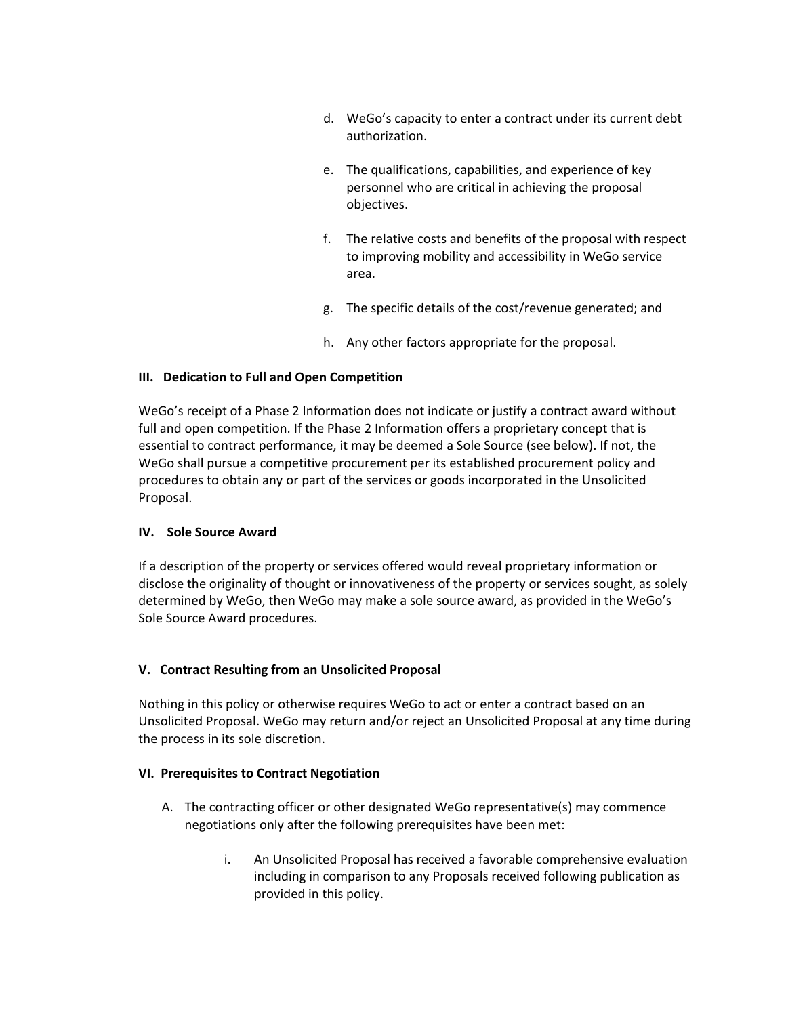- d. WeGo's capacity to enter a contract under its current debt authorization.
- e. The qualifications, capabilities, and experience of key personnel who are critical in achieving the proposal objectives.
- f. The relative costs and benefits of the proposal with respect to improving mobility and accessibility in WeGo service area.
- g. The specific details of the cost/revenue generated; and
- h. Any other factors appropriate for the proposal.

## **III. Dedication to Full and Open Competition**

WeGo's receipt of a Phase 2 Information does not indicate or justify a contract award without full and open competition. If the Phase 2 Information offers a proprietary concept that is essential to contract performance, it may be deemed a Sole Source (see below). If not, the WeGo shall pursue a competitive procurement per its established procurement policy and procedures to obtain any or part of the services or goods incorporated in the Unsolicited Proposal.

### **IV. Sole Source Award**

If a description of the property or services offered would reveal proprietary information or disclose the originality of thought or innovativeness of the property or services sought, as solely determined by WeGo, then WeGo may make a sole source award, as provided in the WeGo's Sole Source Award procedures.

### **V. Contract Resulting from an Unsolicited Proposal**

Nothing in this policy or otherwise requires WeGo to act or enter a contract based on an Unsolicited Proposal. WeGo may return and/or reject an Unsolicited Proposal at any time during the process in its sole discretion.

### **VI. Prerequisites to Contract Negotiation**

- A. The contracting officer or other designated WeGo representative(s) may commence negotiations only after the following prerequisites have been met:
	- i. An Unsolicited Proposal has received a favorable comprehensive evaluation including in comparison to any Proposals received following publication as provided in this policy.